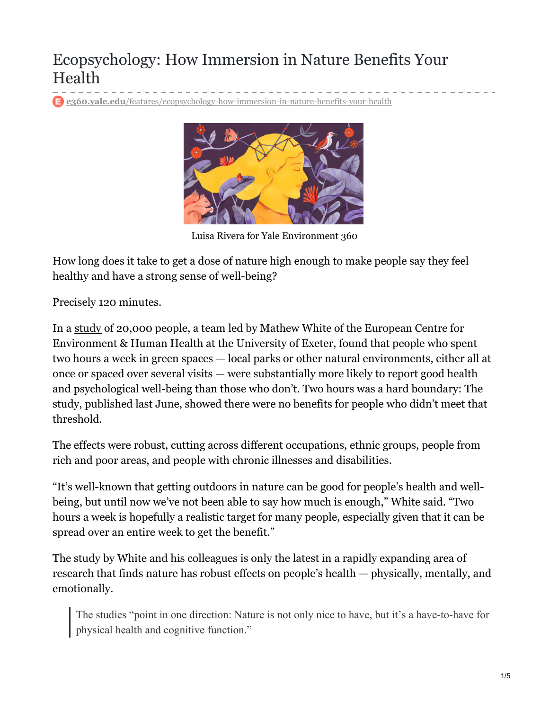## Ecopsychology: How Immersion in Nature Benefits Your Health

**e360.yale.edu**[/features/ecopsychology-how-immersion-in-nature-benefits-your-health](https://e360.yale.edu/features/ecopsychology-how-immersion-in-nature-benefits-your-health)



Luisa Rivera for Yale Environment 360

How long does it take to get a dose of nature high enough to make people say they feel healthy and have a strong sense of well-being?

Precisely 120 minutes.

In a [study](https://www.nature.com/articles/s41598-019-44097-3) of 20,000 people, a team led by Mathew White of the European Centre for Environment & Human Health at the University of Exeter, found that people who spent two hours a week in green spaces — local parks or other natural environments, either all at once or spaced over several visits — were substantially more likely to report good health and psychological well-being than those who don't. Two hours was a hard boundary: The study, published last June, showed there were no benefits for people who didn't meet that threshold.

The effects were robust, cutting across different occupations, ethnic groups, people from rich and poor areas, and people with chronic illnesses and disabilities.

"It's well-known that getting outdoors in nature can be good for people's health and wellbeing, but until now we've not been able to say how much is enough," White said. "Two hours a week is hopefully a realistic target for many people, especially given that it can be spread over an entire week to get the benefit."

The study by White and his colleagues is only the latest in a rapidly expanding area of research that finds nature has robust effects on people's health — physically, mentally, and emotionally.

The studies "point in one direction: Nature is not only nice to have, but it's a have-to-have for physical health and cognitive function."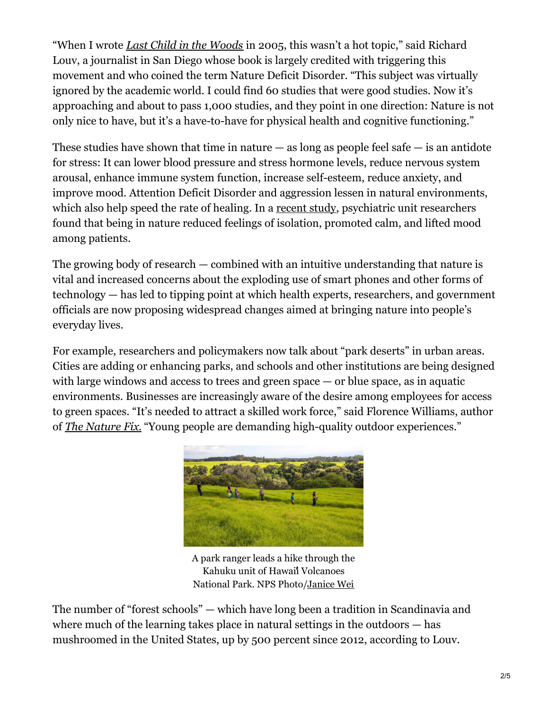"When I wrote *Last Child in the [Woods](http://richardlouv.com/books/last-child/)* in 2005, this wasn't a hot topic," said Richard Louv, a journalist in San Diego whose book is largely credited with triggering this movement and who coined the term Nature Deficit Disorder. "This subject was virtually ignored by the academic world. I could find 60 studies that were good studies. Now it's approaching and about to pass 1,000 studies, and they point in one direction: Nature is not only nice to have, but it's a have-to-have for physical health and cognitive functioning."

These studies have shown that time in nature  $-$  as long as people feel safe  $-$  is an antidote for stress: It can lower blood pressure and stress hormone levels, reduce nervous system arousal, enhance immune system function, increase self-esteem, reduce anxiety, and improve mood. Attention Deficit Disorder and aggression lessen in natural environments, which also help speed the rate of healing. In a [recent](https://www.psychiatricnursing.org/article/S0883-9417(18)30298-X/fulltext#s0120 at a) study, psychiatric unit researchers found that being in nature reduced feelings of isolation, promoted calm, and lifted mood among patients.

The growing body of research — combined with an intuitive understanding that nature is vital and increased concerns about the exploding use of smart phones and other forms of technology — has led to tipping point at which health experts, researchers, and government officials are now proposing widespread changes aimed at bringing nature into people's everyday lives.

For example, researchers and policymakers now talk about "park deserts" in urban areas. Cities are adding or enhancing parks, and schools and other institutions are being designed with large windows and access to trees and green space — or blue space, as in aquatic environments. Businesses are increasingly aware of the desire among employees for access to green spaces. "It's needed to attract a skilled work force," said Florence Williams, author of *The [Nature](http://www.florencewilliams.com/the-nature-fix) Fix*. "Young people are demanding high-quality outdoor experiences."



A park ranger leads a hike through the Kahuku unit of Hawaii Volcanoes National Park. NPS Photo[/Janice](https://www.nps.gov/havo/planyourvisit/kahuku-calendar.htm) Wei

The number of "forest schools" — which have long been a tradition in Scandinavia and where much of the learning takes place in natural settings in the outdoors — has mushroomed in the United States, up by 500 percent since 2012, according to Louv.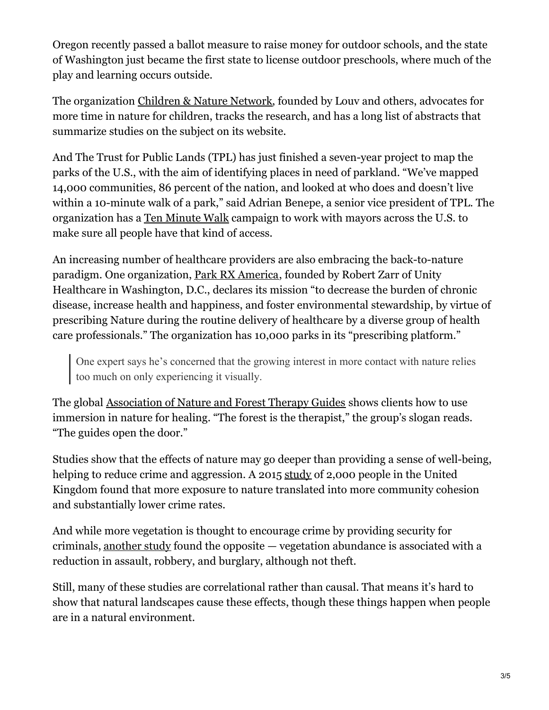Oregon recently passed a ballot measure to raise money for outdoor schools, and the state of Washington just became the first state to license outdoor preschools, where much of the play and learning occurs outside.

The organization [Children](https://www.childrenandnature.org/) & Nature Network, founded by Louv and others, advocates for more time in nature for children, tracks the research, and has a long list of abstracts that summarize studies on the subject on its website.

And The Trust for Public Lands (TPL) has just finished a seven-year project to map the parks of the U.S., with the aim of identifying places in need of parkland. "We've mapped 14,000 communities, 86 percent of the nation, and looked at who does and doesn't live within a 10-minute walk of a park," said Adrian Benepe, a senior vice president of TPL. The organization has a Ten [Minute](https://10minutewalk.org/) Walk campaign to work with mayors across the U.S. to make sure all people have that kind of access.

An increasing number of healthcare providers are also embracing the back-to-nature paradigm. One organization, Park RX [America](https://parkrxamerica.org/), founded by Robert Zarr of Unity Healthcare in Washington, D.C., declares its mission "to decrease the burden of chronic disease, increase health and happiness, and foster environmental stewardship, by virtue of prescribing Nature during the routine delivery of healthcare by a diverse group of health care professionals." The organization has 10,000 parks in its "prescribing platform."

One expert says he's concerned that the growing interest in more contact with nature relies too much on only experiencing it visually.

The global [Association](https://www.natureandforesttherapy.org/) of Nature and Forest Therapy Guides shows clients how to use immersion in nature for healing. "The forest is the therapist," the group's slogan reads. "The guides open the door."

Studies show that the effects of nature may go deeper than providing a sense of well-being, helping to reduce crime and aggression. A 2015 [study](https://academic.oup.com/bioscience/article/65/12/1141/223866) of 2,000 people in the United Kingdom found that more exposure to nature translated into more community cohesion and substantially lower crime rates.

And while more vegetation is thought to encourage crime by providing security for criminals, [another](https://www.sciencedirect.com/science/article/pii/S0169204612002502) study found the opposite — vegetation abundance is associated with a reduction in assault, robbery, and burglary, although not theft.

Still, many of these studies are correlational rather than causal. That means it's hard to show that natural landscapes cause these effects, though these things happen when people are in a natural environment.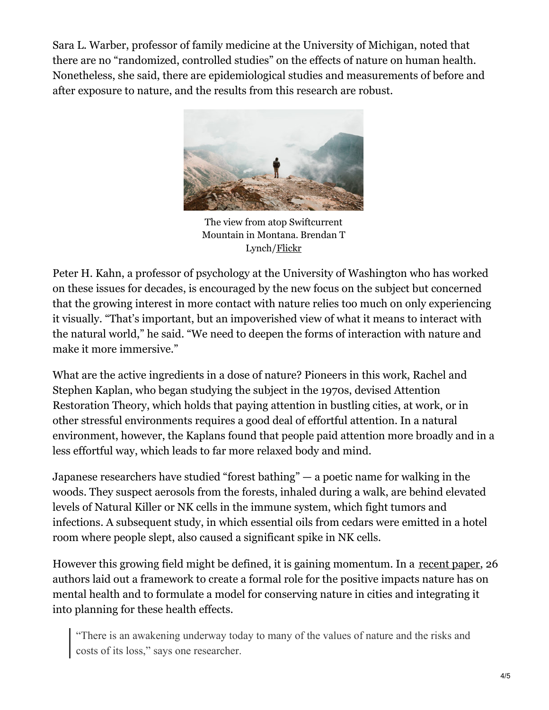Sara L. Warber, professor of family medicine at the University of Michigan, noted that there are no "randomized, controlled studies" on the effects of nature on human health. Nonetheless, she said, there are epidemiological studies and measurements of before and after exposure to nature, and the results from this research are robust.



The view from atop Swiftcurrent Mountain in Montana. Brendan T Lynch[/Flickr](https://www.flickr.com/photos/btonevibes/21072903956/)

Peter H. Kahn, a professor of psychology at the University of Washington who has worked on these issues for decades, is encouraged by the new focus on the subject but concerned that the growing interest in more contact with nature relies too much on only experiencing it visually. "That's important, but an impoverished view of what it means to interact with the natural world," he said. "We need to deepen the forms of interaction with nature and make it more immersive."

What are the active ingredients in a dose of nature? Pioneers in this work, Rachel and Stephen Kaplan, who began studying the subject in the 1970s, devised Attention Restoration Theory, which holds that paying attention in bustling cities, at work, or in other stressful environments requires a good deal of effortful attention. In a natural environment, however, the Kaplans found that people paid attention more broadly and in a less effortful way, which leads to far more relaxed body and mind.

Japanese researchers have studied "forest bathing" — a poetic name for walking in the woods. They suspect aerosols from the forests, inhaled during a walk, are behind elevated levels of Natural Killer or NK cells in the immune system, which fight tumors and infections. A subsequent study, in which essential oils from cedars were emitted in a hotel room where people slept, also caused a significant spike in NK cells.

However this growing field might be defined, it is gaining momentum. In a [recent](https://advances.sciencemag.org/content/5/7/eaax0903) paper, 26 authors laid out a framework to create a formal role for the positive impacts nature has on mental health and to formulate a model for conserving nature in cities and integrating it into planning for these health effects.

"There is an awakening underway today to many of the values of nature and the risks and costs of its loss," says one researcher.